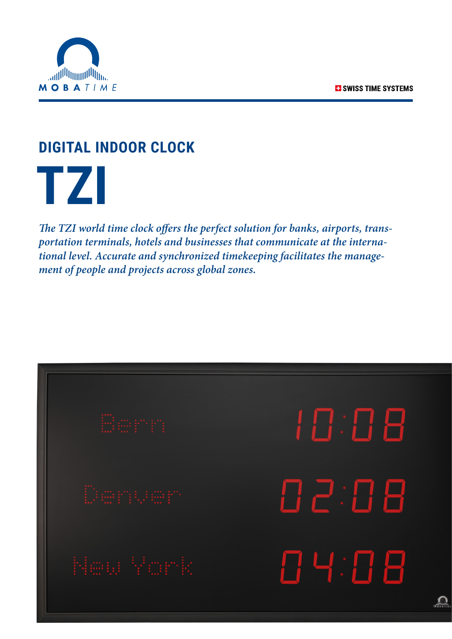

## **DIGITAL INDOOR CLOCK**

 **TZI**

*The TZI world time clock offers the perfect solution for banks, airports, transportation terminals, hotels and businesses that communicate at the international level. Accurate and synchronized timekeeping facilitates the management of people and projects across global zones.*

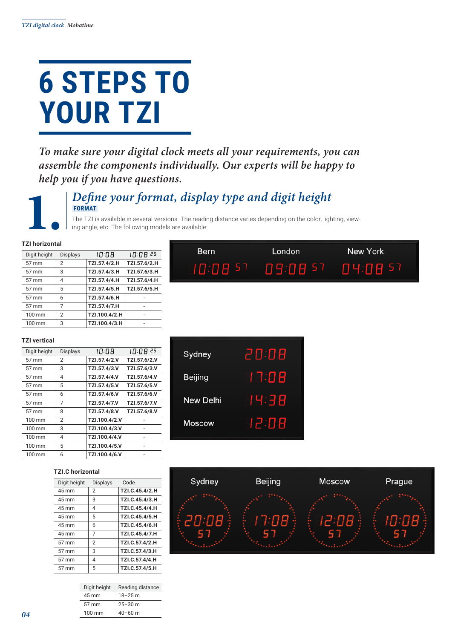# **6 STEPS TO YOUR TZI**

*To make sure your digital clock meets all your requirements, you can assemble the components individually. Our experts will be happy to help you if you have questions.*



#### **1.** *Define your format, display type and digit height*  **FORMAT**

**Bern** 

The TZI is available in several versions. The reading distance varies depending on the color, lighting, viewing angle, etc. The following models are available:

10:08 57

#### **TZI horizontal**

| Digit height     | <b>Displays</b> | 10:08         | 10:08 25     |
|------------------|-----------------|---------------|--------------|
| 57 mm            | $\overline{2}$  | TZI.57.4/2.H  | TZI.57.6/2.H |
| 57 mm            | 3               | TZI.57.4/3.H  | TZI.57.6/3.H |
| 57 mm            | 4               | TZI.57.4/4.H  | TZI.57.6/4.H |
| 57 mm            | 5               | TZI.57.4/5.H  | TZI.57.6/5.H |
| 57 mm            | 6               | TZI.57.4/6.H  |              |
| 57 mm            | 7               | TZI.57.4/7.H  |              |
| 100 mm           | $\overline{2}$  | TZI.100.4/2.H |              |
| $100 \text{ mm}$ | 3               | TZI.100.4/3.H |              |

#### **TZI vertical**

| Digit height     | <b>Displays</b> | 10:08         | 10:08 25     |
|------------------|-----------------|---------------|--------------|
| 57 mm            | $\overline{2}$  | TZI.57.4/2.V  | TZI.57.6/2.V |
| 57 mm            | 3               | TZI.57.4/3.V  | TZI.57.6/3.V |
| 57 mm            | 4               | TZI.57.4/4.V  | TZI.57.6/4.V |
| 57 mm            | 5               | TZI.57.4/5.V  | TZI.57.6/5.V |
| 57 mm            | 6               | TZI.57.4/6.V  | TZI.57.6/6.V |
| 57 mm            | 7               | TZI.57.4/7.V  | TZI.57.6/7.V |
| 57 mm            | 8               | TZI.57.4/8.V  | TZI.57.6/8.V |
| 100 mm           | $\overline{2}$  | TZI.100.4/2.V |              |
| 100 mm           | 3               | TZI.100.4/3.V |              |
| 100 mm           | 4               | TZI.100.4/4.V |              |
| 100 mm           | 5               | TZI.100.4/5.V |              |
| $100 \text{ mm}$ | 6               | TZI.100.4/6.V |              |

#### **TZI.C horizontal**

| Digit height | <b>Displays</b> | Code           |
|--------------|-----------------|----------------|
| 45 mm        | $\overline{2}$  | TZI.C.45.4/2.H |
| 45 mm        | 3               | TZI.C.45.4/3.H |
| 45 mm        | 4               | TZI.C.45.4/4.H |
| 45 mm        | 5               | TZI.C.45.4/5.H |
| 45 mm        | 6               | TZI.C.45.4/6.H |
| 45 mm        | 7               | TZI.C.45.4/7.H |
| 57 mm        | $\overline{2}$  | TZI.C.57.4/2.H |
| 57 mm        | 3               | TZI.C.57.4/3.H |
| 57 mm        | 4               | TZI.C.57.4/4.H |
| 57 mm        | 5               | TZI.C.57.4/5.H |

| Digit height | Reading distance |
|--------------|------------------|
| 45 mm        | $18 - 25$ m      |
| 57 mm        | $25 - 30$ m      |
| 100 mm       | $40 - 60$ m      |
|              |                  |

| Sydney         | 20:08 |
|----------------|-------|
| <b>Beijing</b> | 17:08 |
| New Delhi      | 14:38 |
| Moscow         | 12:88 |



London

09:08

-57

New York

04:08 57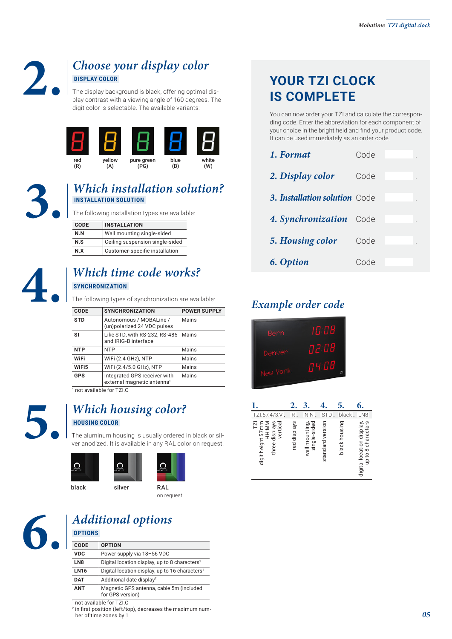

#### **2.** *Choose your display color*  **DISPLAY COLOR**

The display background is black, offering optimal display contrast with a viewing angle of 160 degrees. The digit color is selectable. The available variants:



#### **3.** *Which installation solution?*  **INSTALLATION SOLUTION**

The following installation types are available:

| <b>CODE</b>                            | <b>INSTALLATION</b>            |  |  |  |  |  |
|----------------------------------------|--------------------------------|--|--|--|--|--|
| N.N                                    | Wall mounting single-sided     |  |  |  |  |  |
| Ceiling suspension single-sided<br>N.S |                                |  |  |  |  |  |
| N X                                    | Customer-specific installation |  |  |  |  |  |

#### **4.** *Which time code works?*  **SYNCHRONIZATION**

The following types of synchronization are available:

| <b>CODE</b> | <b>SYNCHRONIZATION</b>                                                 | <b>POWER SUPPLY</b> |
|-------------|------------------------------------------------------------------------|---------------------|
| <b>STD</b>  | Autonomous / MOBALine /<br>(un)polarized 24 VDC pulses                 | Mains               |
| SI          | Like STD, with RS-232, RS-485 Mains<br>and IRIG-B interface            |                     |
| <b>NTP</b>  | <b>NTP</b>                                                             | Mains               |
| WiFi        | WiFi (2.4 GHz), NTP                                                    | Mains               |
| WiFi5       | WiFi (2.4/5.0 GHz), NTP                                                | Mains               |
| <b>GPS</b>  | Integrated GPS receiver with<br>external magnetic antenna <sup>1</sup> | Mains               |

1 not available for TZI.C

#### **5.** *Which housing color?*  **HOUSING COLOR**

The aluminum housing is usually ordered in black or silver anodized. It is available in any RAL color on request.



### **6.** *Additional options*  **OPTIONS**

| CODE            | <b>OPTION</b>                                                |
|-----------------|--------------------------------------------------------------|
| <b>VDC</b>      | Power supply via 18-56 VDC                                   |
| LN <sub>8</sub> | Digital location display, up to 8 characters <sup>1</sup>    |
| <b>LN16</b>     | Digital location display, up to 16 characters <sup>1</sup>   |
| <b>DAT</b>      | Additional date display <sup>2</sup>                         |
| <b>ANT</b>      | Magnetic GPS antenna, cable 5m (included<br>for GPS version) |
|                 |                                                              |

1 not available for TZI.C

2 in first position (left/top), decreases the maximum number of time zones by 1

## **YOUR TZI CLOCK IS COMPLETE**

You can now order your TZI and calculate the corresponding code. Enter the abbreviation for each component of your choice in the bright field and find your product code. It can be used immediately as an order code.

| 1. Format                     | Code |  |
|-------------------------------|------|--|
| 2. Display color              | Code |  |
| 3. Installation solution Code |      |  |
| 4. Synchronization Code       |      |  |
| 5. Housing color              | Code |  |
| 6. Option                     | Code |  |

### *Example order code*

| Bern     | 10:08  |
|----------|--------|
| Denven   | n 2:08 |
| yew York | пч:08  |
|          |        |

|                                                                               | $\mathbf{2}$ . |                                |                  |               | 6.                                              |
|-------------------------------------------------------------------------------|----------------|--------------------------------|------------------|---------------|-------------------------------------------------|
| TZI.57.4/3.V.                                                                 | R.             | N.N                            | <b>STD</b>       | black         | LN8                                             |
| <b>IZI</b><br>three displays<br>vertical<br><b>NN:HH</b><br>digit height 57mm | red displays   | single-sided<br>wall mounting, | standard version | black housing | up to 8 characters<br>digital location display, |